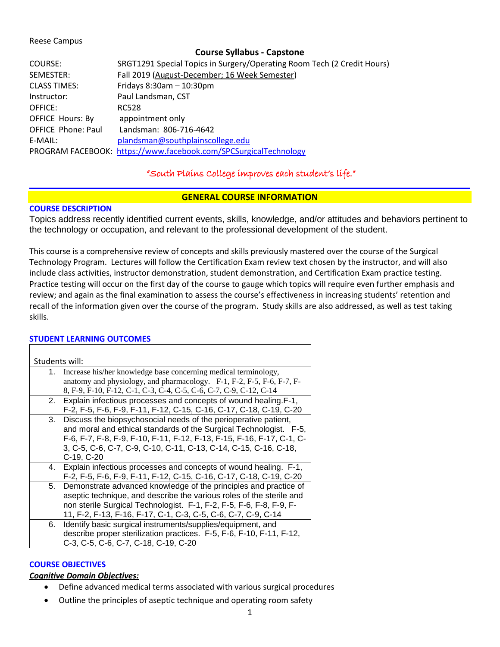#### Reese Campus

#### **Course Syllabus - Capstone**

| COURSE:                   | SRGT1291 Special Topics in Surgery/Operating Room Tech (2 Credit Hours) |
|---------------------------|-------------------------------------------------------------------------|
| SEMESTER:                 | Fall 2019 (August-December; 16 Week Semester)                           |
| <b>CLASS TIMES:</b>       | Fridays $8:30$ am $-10:30$ pm                                           |
| Instructor:               | Paul Landsman, CST                                                      |
| OFFICE:                   | <b>RC528</b>                                                            |
| <b>OFFICE Hours: By</b>   | appointment only                                                        |
| <b>OFFICE Phone: Paul</b> | Landsman: 806-716-4642                                                  |
| E-MAIL:                   | plandsman@southplainscollege.edu                                        |
|                           | PROGRAM FACEBOOK: https://www.facebook.com/SPCSurgicalTechnology        |

## "South Plains College improves each student's life."

#### **GENERAL COURSE INFORMATION**

## **COURSE DESCRIPTION**

Topics address recently identified current events, skills, knowledge, and/or attitudes and behaviors pertinent to the technology or occupation, and relevant to the professional development of the student.

This course is a comprehensive review of concepts and skills previously mastered over the course of the Surgical Technology Program. Lectures will follow the Certification Exam review text chosen by the instructor, and will also include class activities, instructor demonstration, student demonstration, and Certification Exam practice testing. Practice testing will occur on the first day of the course to gauge which topics will require even further emphasis and review; and again as the final examination to assess the course's effectiveness in increasing students' retention and recall of the information given over the course of the program. Study skills are also addressed, as well as test taking skills.

## **STUDENT LEARNING OUTCOMES**

|    | Students will:                                                                                                                                                                                                                                                                                   |
|----|--------------------------------------------------------------------------------------------------------------------------------------------------------------------------------------------------------------------------------------------------------------------------------------------------|
|    | 1. Increase his/her knowledge base concerning medical terminology,<br>anatomy and physiology, and pharmacology. F-1, F-2, F-5, F-6, F-7, F-<br>8, F-9, F-10, F-12, C-1, C-3, C-4, C-5, C-6, C-7, C-9, C-12, C-14                                                                                 |
|    | 2. Explain infectious processes and concepts of wound healing. F-1,<br>F-2, F-5, F-6, F-9, F-11, F-12, C-15, C-16, C-17, C-18, C-19, C-20                                                                                                                                                        |
| 3. | Discuss the biopsychosocial needs of the perioperative patient,<br>and moral and ethical standards of the Surgical Technologist. F-5,<br>F-6, F-7, F-8, F-9, F-10, F-11, F-12, F-13, F-15, F-16, F-17, C-1, C-<br>3, C-5, C-6, C-7, C-9, C-10, C-11, C-13, C-14, C-15, C-16, C-18,<br>C-19, C-20 |
| 4. | Explain infectious processes and concepts of wound healing. F-1,<br>F-2, F-5, F-6, F-9, F-11, F-12, C-15, C-16, C-17, C-18, C-19, C-20                                                                                                                                                           |
| 5. | Demonstrate advanced knowledge of the principles and practice of<br>aseptic technique, and describe the various roles of the sterile and<br>non sterile Surgical Technologist. F-1, F-2, F-5, F-6, F-8, F-9, F-<br>11, F-2, F-13, F-16, F-17, C-1, C-3, C-5, C-6, C-7, C-9, C-14                 |
| 6. | Identify basic surgical instruments/supplies/equipment, and<br>describe proper sterilization practices. F-5, F-6, F-10, F-11, F-12,<br>C-3, C-5, C-6, C-7, C-18, C-19, C-20                                                                                                                      |

#### **COURSE OBJECTIVES**

## *Cognitive Domain Objectives:*

- Define advanced medical terms associated with various surgical procedures
- Outline the principles of aseptic technique and operating room safety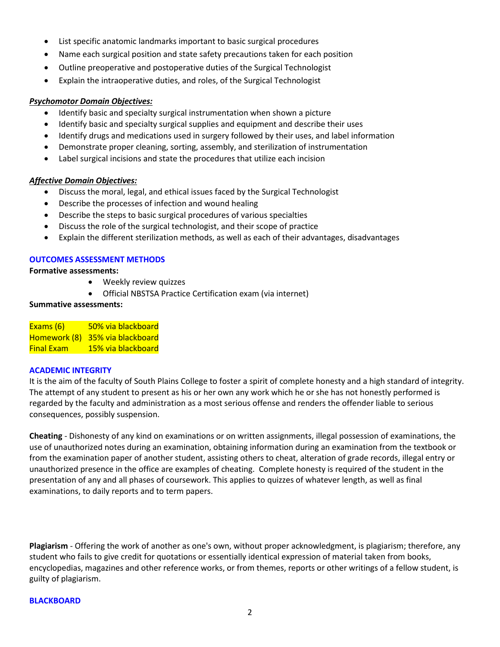- List specific anatomic landmarks important to basic surgical procedures
- Name each surgical position and state safety precautions taken for each position
- Outline preoperative and postoperative duties of the Surgical Technologist
- Explain the intraoperative duties, and roles, of the Surgical Technologist

#### *Psychomotor Domain Objectives:*

- Identify basic and specialty surgical instrumentation when shown a picture
- Identify basic and specialty surgical supplies and equipment and describe their uses
- Identify drugs and medications used in surgery followed by their uses, and label information
- Demonstrate proper cleaning, sorting, assembly, and sterilization of instrumentation
- Label surgical incisions and state the procedures that utilize each incision

#### *Affective Domain Objectives:*

- Discuss the moral, legal, and ethical issues faced by the Surgical Technologist
- Describe the processes of infection and wound healing
- Describe the steps to basic surgical procedures of various specialties
- Discuss the role of the surgical technologist, and their scope of practice
- Explain the different sterilization methods, as well as each of their advantages, disadvantages

#### **OUTCOMES ASSESSMENT METHODS**

**Formative assessments:**

- Weekly review quizzes
- Official NBSTSA Practice Certification exam (via internet)

#### **Summative assessments:**

Exams (6) 50% via blackboard Homework (8) 35% via blackboard Final Exam 15% via blackboard

#### **ACADEMIC INTEGRITY**

It is the aim of the faculty of South Plains College to foster a spirit of complete honesty and a high standard of integrity. The attempt of any student to present as his or her own any work which he or she has not honestly performed is regarded by the faculty and administration as a most serious offense and renders the offender liable to serious consequences, possibly suspension.

**Cheating** - Dishonesty of any kind on examinations or on written assignments, illegal possession of examinations, the use of unauthorized notes during an examination, obtaining information during an examination from the textbook or from the examination paper of another student, assisting others to cheat, alteration of grade records, illegal entry or unauthorized presence in the office are examples of cheating. Complete honesty is required of the student in the presentation of any and all phases of coursework. This applies to quizzes of whatever length, as well as final examinations, to daily reports and to term papers.

**Plagiarism** - Offering the work of another as one's own, without proper acknowledgment, is plagiarism; therefore, any student who fails to give credit for quotations or essentially identical expression of material taken from books, encyclopedias, magazines and other reference works, or from themes, reports or other writings of a fellow student, is guilty of plagiarism.

#### **BLACKBOARD**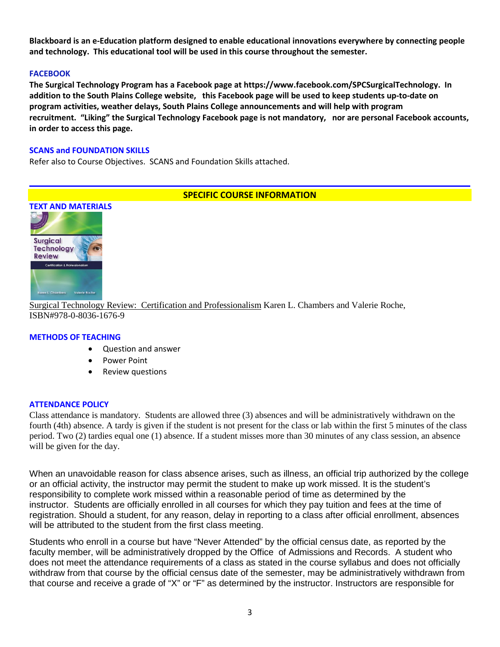**Blackboard is an e-Education platform designed to enable educational innovations everywhere by connecting people and technology. This educational tool will be used in this course throughout the semester.** 

## **FACEBOOK**

**The Surgical Technology Program has a Facebook page at https://www.facebook.com/SPCSurgicalTechnology. In addition to the South Plains College website, this Facebook page will be used to keep students up-to-date on program activities, weather delays, South Plains College announcements and will help with program recruitment. "Liking" the Surgical Technology Facebook page is not mandatory, nor are personal Facebook accounts, in order to access this page.**

#### **SCANS and FOUNDATION SKILLS**

Refer also to Course Objectives. SCANS and Foundation Skills attached.

## **SPECIFIC COURSE INFORMATION**



Surgical Technology Review: Certification and Professionalism Karen L. Chambers and Valerie Roche, ISBN#978-0-8036-1676-9

#### **METHODS OF TEACHING**

- Question and answer
- Power Point
- Review questions

#### **ATTENDANCE POLICY**

Class attendance is mandatory. Students are allowed three (3) absences and will be administratively withdrawn on the fourth (4th) absence. A tardy is given if the student is not present for the class or lab within the first 5 minutes of the class period. Two (2) tardies equal one (1) absence. If a student misses more than 30 minutes of any class session, an absence will be given for the day.

When an unavoidable reason for class absence arises, such as illness, an official trip authorized by the college or an official activity, the instructor may permit the student to make up work missed. It is the student's responsibility to complete work missed within a reasonable period of time as determined by the instructor. Students are officially enrolled in all courses for which they pay tuition and fees at the time of registration. Should a student, for any reason, delay in reporting to a class after official enrollment, absences will be attributed to the student from the first class meeting.

Students who enroll in a course but have "Never Attended" by the official census date, as reported by the faculty member, will be administratively dropped by the Office of Admissions and Records. A student who does not meet the attendance requirements of a class as stated in the course syllabus and does not officially withdraw from that course by the official census date of the semester, may be administratively withdrawn from that course and receive a grade of "X" or "F" as determined by the instructor. Instructors are responsible for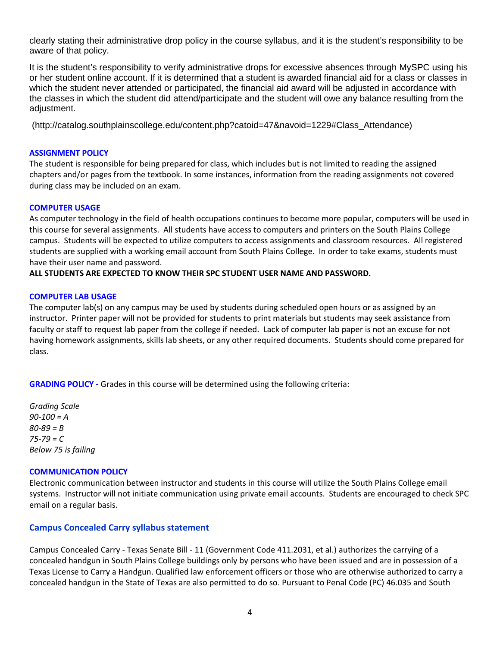clearly stating their administrative drop policy in the course syllabus, and it is the student's responsibility to be aware of that policy.

It is the student's responsibility to verify administrative drops for excessive absences through MySPC using his or her student online account. If it is determined that a student is awarded financial aid for a class or classes in which the student never attended or participated, the financial aid award will be adjusted in accordance with the classes in which the student did attend/participate and the student will owe any balance resulting from the adjustment.

(http://catalog.southplainscollege.edu/content.php?catoid=47&navoid=1229#Class\_Attendance)

#### **ASSIGNMENT POLICY**

The student is responsible for being prepared for class, which includes but is not limited to reading the assigned chapters and/or pages from the textbook. In some instances, information from the reading assignments not covered during class may be included on an exam.

#### **COMPUTER USAGE**

As computer technology in the field of health occupations continues to become more popular, computers will be used in this course for several assignments. All students have access to computers and printers on the South Plains College campus. Students will be expected to utilize computers to access assignments and classroom resources. All registered students are supplied with a working email account from South Plains College. In order to take exams, students must have their user name and password.

## **ALL STUDENTS ARE EXPECTED TO KNOW THEIR SPC STUDENT USER NAME AND PASSWORD.**

## **COMPUTER LAB USAGE**

The computer lab(s) on any campus may be used by students during scheduled open hours or as assigned by an instructor. Printer paper will not be provided for students to print materials but students may seek assistance from faculty or staff to request lab paper from the college if needed. Lack of computer lab paper is not an excuse for not having homework assignments, skills lab sheets, or any other required documents. Students should come prepared for class.

**GRADING POLICY -** Grades in this course will be determined using the following criteria:

*Grading Scale 90-100 = A 80-89 = B 75-79 = C Below 75 is failing*

## **COMMUNICATION POLICY**

Electronic communication between instructor and students in this course will utilize the South Plains College email systems. Instructor will not initiate communication using private email accounts. Students are encouraged to check SPC email on a regular basis.

## **Campus Concealed Carry syllabus statement**

Campus Concealed Carry - Texas Senate Bill - 11 (Government Code 411.2031, et al.) authorizes the carrying of a concealed handgun in South Plains College buildings only by persons who have been issued and are in possession of a Texas License to Carry a Handgun. Qualified law enforcement officers or those who are otherwise authorized to carry a concealed handgun in the State of Texas are also permitted to do so. Pursuant to Penal Code (PC) 46.035 and South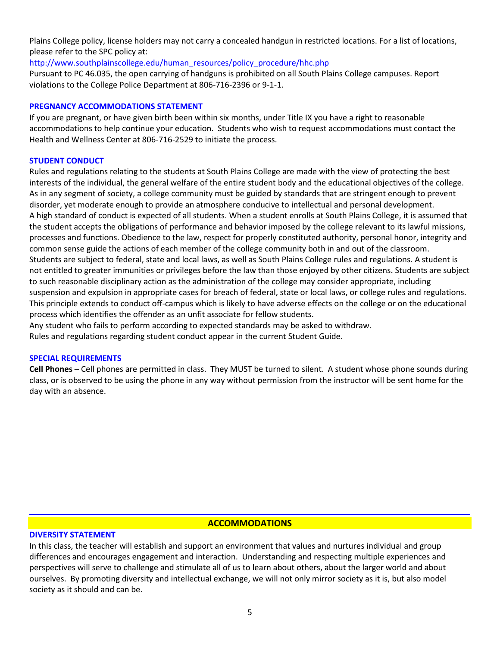Plains College policy, license holders may not carry a concealed handgun in restricted locations. For a list of locations, please refer to the SPC policy at:

[http://www.southplainscollege.edu/human\\_resources/policy\\_procedure/hhc.php](http://www.southplainscollege.edu/human_resources/policy_procedure/hhc.php)

Pursuant to PC 46.035, the open carrying of handguns is prohibited on all South Plains College campuses. Report violations to the College Police Department at 806-716-2396 or 9-1-1.

#### **PREGNANCY ACCOMMODATIONS STATEMENT**

If you are pregnant, or have given birth been within six months, under Title IX you have a right to reasonable accommodations to help continue your education. Students who wish to request accommodations must contact the Health and Wellness Center at 806-716-2529 to initiate the process.

## **STUDENT CONDUCT**

Rules and regulations relating to the students at South Plains College are made with the view of protecting the best interests of the individual, the general welfare of the entire student body and the educational objectives of the college. As in any segment of society, a college community must be guided by standards that are stringent enough to prevent disorder, yet moderate enough to provide an atmosphere conducive to intellectual and personal development. A high standard of conduct is expected of all students. When a student enrolls at South Plains College, it is assumed that the student accepts the obligations of performance and behavior imposed by the college relevant to its lawful missions, processes and functions. Obedience to the law, respect for properly constituted authority, personal honor, integrity and common sense guide the actions of each member of the college community both in and out of the classroom. Students are subject to federal, state and local laws, as well as South Plains College rules and regulations. A student is not entitled to greater immunities or privileges before the law than those enjoyed by other citizens. Students are subject to such reasonable disciplinary action as the administration of the college may consider appropriate, including suspension and expulsion in appropriate cases for breach of federal, state or local laws, or college rules and regulations. This principle extends to conduct off-campus which is likely to have adverse effects on the college or on the educational process which identifies the offender as an unfit associate for fellow students.

Any student who fails to perform according to expected standards may be asked to withdraw.

Rules and regulations regarding student conduct appear in the current Student Guide.

#### **SPECIAL REQUIREMENTS**

**Cell Phones** – Cell phones are permitted in class. They MUST be turned to silent. A student whose phone sounds during class, or is observed to be using the phone in any way without permission from the instructor will be sent home for the day with an absence.

## **ACCOMMODATIONS**

## **DIVERSITY STATEMENT**

In this class, the teacher will establish and support an environment that values and nurtures individual and group differences and encourages engagement and interaction. Understanding and respecting multiple experiences and perspectives will serve to challenge and stimulate all of us to learn about others, about the larger world and about ourselves. By promoting diversity and intellectual exchange, we will not only mirror society as it is, but also model society as it should and can be.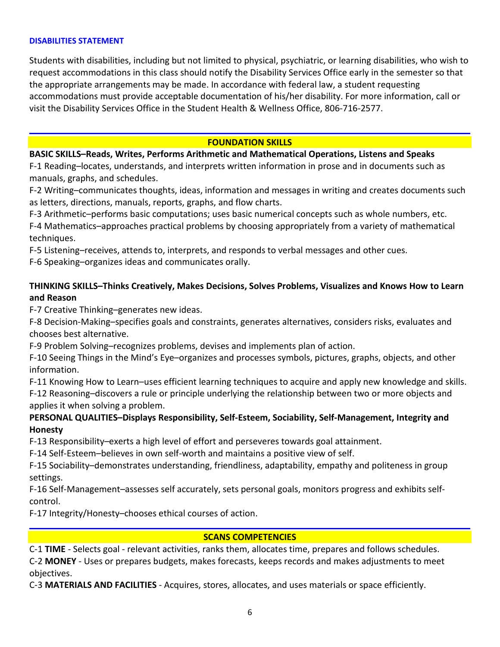#### **DISABILITIES STATEMENT**

Students with disabilities, including but not limited to physical, psychiatric, or learning disabilities, who wish to request accommodations in this class should notify the Disability Services Office early in the semester so that the appropriate arrangements may be made. In accordance with federal law, a student requesting accommodations must provide acceptable documentation of his/her disability. For more information, call or visit the Disability Services Office in the Student Health & Wellness Office, 806-716-2577.

## **FOUNDATION SKILLS**

## **BASIC SKILLS–Reads, Writes, Performs Arithmetic and Mathematical Operations, Listens and Speaks**

F-1 Reading–locates, understands, and interprets written information in prose and in documents such as manuals, graphs, and schedules.

F-2 Writing–communicates thoughts, ideas, information and messages in writing and creates documents such as letters, directions, manuals, reports, graphs, and flow charts.

F-3 Arithmetic–performs basic computations; uses basic numerical concepts such as whole numbers, etc.

F-4 Mathematics–approaches practical problems by choosing appropriately from a variety of mathematical techniques.

F-5 Listening–receives, attends to, interprets, and responds to verbal messages and other cues.

F-6 Speaking–organizes ideas and communicates orally.

# **THINKING SKILLS–Thinks Creatively, Makes Decisions, Solves Problems, Visualizes and Knows How to Learn and Reason**

F-7 Creative Thinking–generates new ideas.

F-8 Decision-Making–specifies goals and constraints, generates alternatives, considers risks, evaluates and chooses best alternative.

F-9 Problem Solving–recognizes problems, devises and implements plan of action.

F-10 Seeing Things in the Mind's Eye–organizes and processes symbols, pictures, graphs, objects, and other information.

F-11 Knowing How to Learn–uses efficient learning techniques to acquire and apply new knowledge and skills. F-12 Reasoning–discovers a rule or principle underlying the relationship between two or more objects and applies it when solving a problem.

# **PERSONAL QUALITIES–Displays Responsibility, Self-Esteem, Sociability, Self-Management, Integrity and Honesty**

F-13 Responsibility–exerts a high level of effort and perseveres towards goal attainment.

F-14 Self-Esteem–believes in own self-worth and maintains a positive view of self.

F-15 Sociability–demonstrates understanding, friendliness, adaptability, empathy and politeness in group settings.

F-16 Self-Management–assesses self accurately, sets personal goals, monitors progress and exhibits selfcontrol.

F-17 Integrity/Honesty–chooses ethical courses of action.

## **SCANS COMPETENCIES**

C-1 **TIME** - Selects goal - relevant activities, ranks them, allocates time, prepares and follows schedules. C-2 **MONEY** - Uses or prepares budgets, makes forecasts, keeps records and makes adjustments to meet objectives.

C-3 **MATERIALS AND FACILITIES** - Acquires, stores, allocates, and uses materials or space efficiently.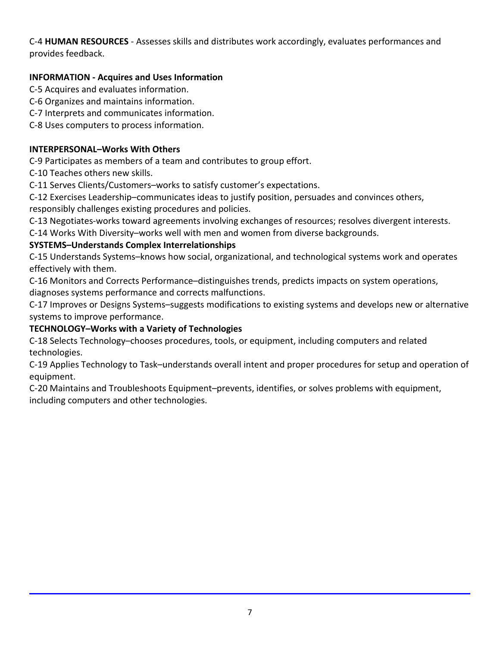C-4 **HUMAN RESOURCES** - Assesses skills and distributes work accordingly, evaluates performances and provides feedback.

# **INFORMATION - Acquires and Uses Information**

C-5 Acquires and evaluates information.

- C-6 Organizes and maintains information.
- C-7 Interprets and communicates information.
- C-8 Uses computers to process information.

# **INTERPERSONAL–Works With Others**

C-9 Participates as members of a team and contributes to group effort.

C-10 Teaches others new skills.

C-11 Serves Clients/Customers–works to satisfy customer's expectations.

C-12 Exercises Leadership–communicates ideas to justify position, persuades and convinces others, responsibly challenges existing procedures and policies.

C-13 Negotiates-works toward agreements involving exchanges of resources; resolves divergent interests.

C-14 Works With Diversity–works well with men and women from diverse backgrounds.

# **SYSTEMS–Understands Complex Interrelationships**

C-15 Understands Systems–knows how social, organizational, and technological systems work and operates effectively with them.

C-16 Monitors and Corrects Performance–distinguishes trends, predicts impacts on system operations, diagnoses systems performance and corrects malfunctions.

C-17 Improves or Designs Systems–suggests modifications to existing systems and develops new or alternative systems to improve performance.

# **TECHNOLOGY–Works with a Variety of Technologies**

C-18 Selects Technology–chooses procedures, tools, or equipment, including computers and related technologies.

C-19 Applies Technology to Task–understands overall intent and proper procedures for setup and operation of equipment.

C-20 Maintains and Troubleshoots Equipment–prevents, identifies, or solves problems with equipment, including computers and other technologies.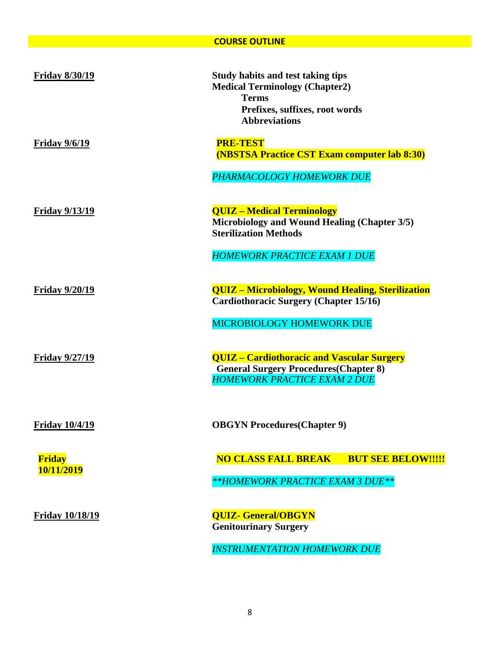## **COURSE OUTLINE**

| <b>Friday 8/30/19</b>       | <b>Study habits and test taking tips</b><br><b>Medical Terminology (Chapter2)</b><br><b>Terms</b><br>Prefixes, suffixes, root words<br><b>Abbreviations</b> |
|-----------------------------|-------------------------------------------------------------------------------------------------------------------------------------------------------------|
| <u>Friday 9/6/19</u>        | <b>PRE-TEST</b><br><b>(NBSTSA Practice CST Exam computer lab 8:30)</b>                                                                                      |
|                             | PHARMACOLOGY HOMEWORK DUE                                                                                                                                   |
| <b>Friday 9/13/19</b>       | <b>QUIZ - Medical Terminology</b><br>Microbiology and Wound Healing (Chapter 3/5)<br><b>Sterilization Methods</b>                                           |
|                             | <b>HOMEWORK PRACTICE EXAM 1 DUE</b>                                                                                                                         |
| <b>Friday 9/20/19</b>       | <b>QUIZ</b> - Microbiology, Wound Healing, Sterilization<br><b>Cardiothoracic Surgery (Chapter 15/16)</b>                                                   |
|                             | MICROBIOLOGY HOMEWORK DUE                                                                                                                                   |
| <b>Friday 9/27/19</b>       | <b>QUIZ - Cardiothoracic and Vascular Surgery</b><br><b>General Surgery Procedures (Chapter 8)</b><br><b>HOMEWORK PRACTICE EXAM 2 DUE</b>                   |
| <b>Friday 10/4/19</b>       | <b>OBGYN Procedures (Chapter 9)</b>                                                                                                                         |
| <b>Friday</b><br>10/11/2019 | <b>NO CLASS FALL BREAK BUT SEE BELOW!!!!!</b>                                                                                                               |
|                             | **HOMEWORK PRACTICE EXAM 3 DUE**                                                                                                                            |
| <b>Friday 10/18/19</b>      | <b>QUIZ- General/OBGYN</b><br><b>Genitourinary Surgery</b>                                                                                                  |
|                             | <b>INSTRUMENTATION HOMEWORK DUE</b>                                                                                                                         |

8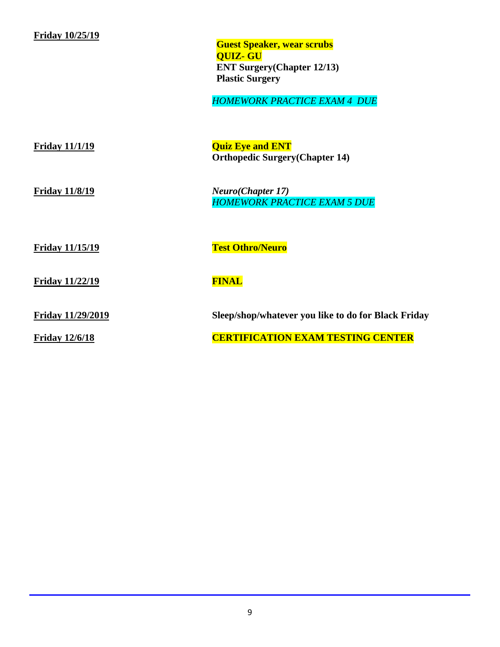# **Friday 10/25/19**

**Guest Speaker, wear scrubs QUIZ- GU ENT Surgery(Chapter 12/13) Plastic Surgery**

*HOMEWORK PRACTICE EXAM 4 DUE*

| <b>Friday 11/1/19</b>    | <b>Quiz Eye and ENT</b><br><b>Orthopedic Surgery (Chapter 14)</b>        |
|--------------------------|--------------------------------------------------------------------------|
| <b>Friday 11/8/19</b>    | <b>Neuro</b> ( <i>Chapter</i> 17)<br><b>HOMEWORK PRACTICE EXAM 5 DUE</b> |
| <b>Friday 11/15/19</b>   | <b>Test Othro/Neuro</b>                                                  |
| <b>Friday 11/22/19</b>   | <b>FINAL</b>                                                             |
| <b>Friday 11/29/2019</b> | Sleep/shop/whatever you like to do for Black Friday                      |
| <b>Friday 12/6/18</b>    | <u>CERTIFICATION EXAM TESTING CENTER</u>                                 |